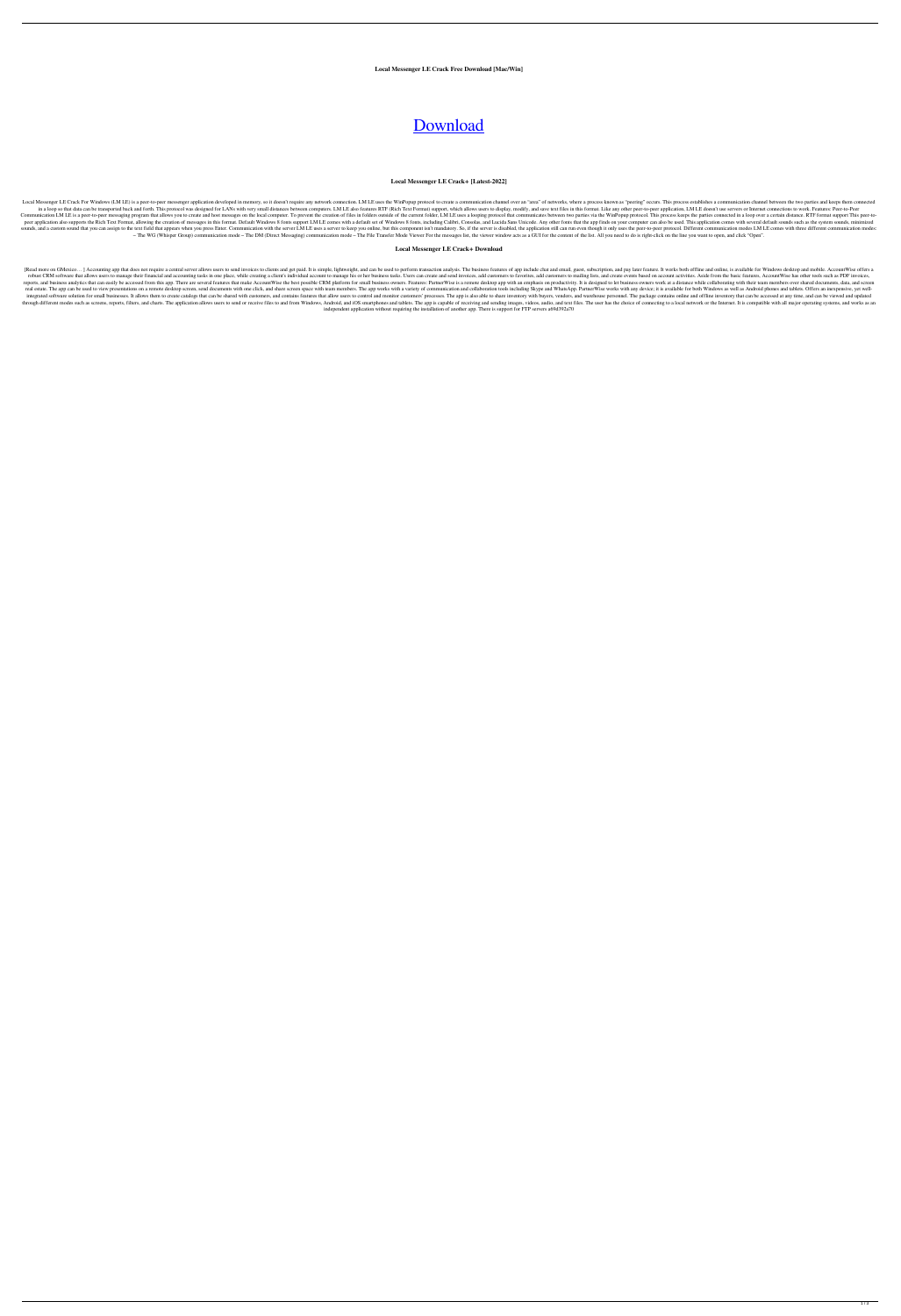**Local Messenger LE Crack Free Download [Mac/Win]**

# [Download](http://evacdir.com/errickson/unethical/lacerations?ZG93bmxvYWR8b3M2WmpsM2ZId3hOalUyTURJeE1qQTJmSHd5TlRrd2ZId29UU2tnVjI5eVpIQnlaWE56SUZ0WVRVeFNVRU1nVmpJZ1VFUkdYUQ&legitimize&TG9jYWwgTWVzc2VuZ2VyIExFTG9)

#### **Local Messenger LE Crack+ [Latest-2022]**

Local Messenger LE Crack For Windows (LM LE) is a peer-to-peer messenger application developed in memory, so it doesn't require any network connection. LM LE uses the WinPopup protocol to create a communication channel ove in a loop so that data can be transported back and forth. This protocol was designed for LANs with very small distances between computers. LM LE also features RTF (Rich Text Format) support, which allows users to display, Communication LM LE is a peer-to-peer messaging program that allows you to create and host messages on the local computer. To prevent the creation of files in folders outside of the current folder, LM LE uses a looping pro peer application also supports the Rich Text Format, allowing the creation of messages in this format. Default Windows 8 fonts support LM LE comes with a default set of Windows 8 fonts, including Calibri, Consolas, and Luc sounds, and a custom sound that you can assign to the text field that appears when you press Enter. Communication with the server LM LE uses a server to keep you online, but this component isn't mandatory. So, if the serve - The WG (Whisper Group) communication mode - The DM (Direct Messaging) communication mode - The File Transfer Mode Viewer For the messages list, the viewer window acts as a GUI for the content of the list. All you need to

## **Local Messenger LE Crack+ Download**

[Read more on GMexico...] Accounting app that does not require a central server allows users to send invoices to clients and get paid. It is simple, lightweight, and can be used to perform transaction analysis. The busines robust CRM software that allows users to manage their financial and accounting tasks in one place, while creating a client's individual account to manage his or her business tasks. Users can create and send invoices, add c reports, and business analytics that can easily be accessed from this app. There are several features that make AccountWise the best possible CRM platform for small business owners. Features: PartnerWise is a remote deskto real estate. The app can be used to view presentations on a remote desktop screen, send documents with one click, and share screen space with team members. The app works with a variety of communication and collaboration to integrated software solution for small businesses. It allows them to create catalogs that can be shared with customers, and contains features that allow users to control and monitor customers' processes. The app is also ab through different modes such as screens, reports, filters, and charts. The application allows users to send or receive files to and from Windows, Android, and iOS smartphones and tablets. The app is capable of receiving an independent application without requiring the installation of another app. There is support for FTP servers a69d392a70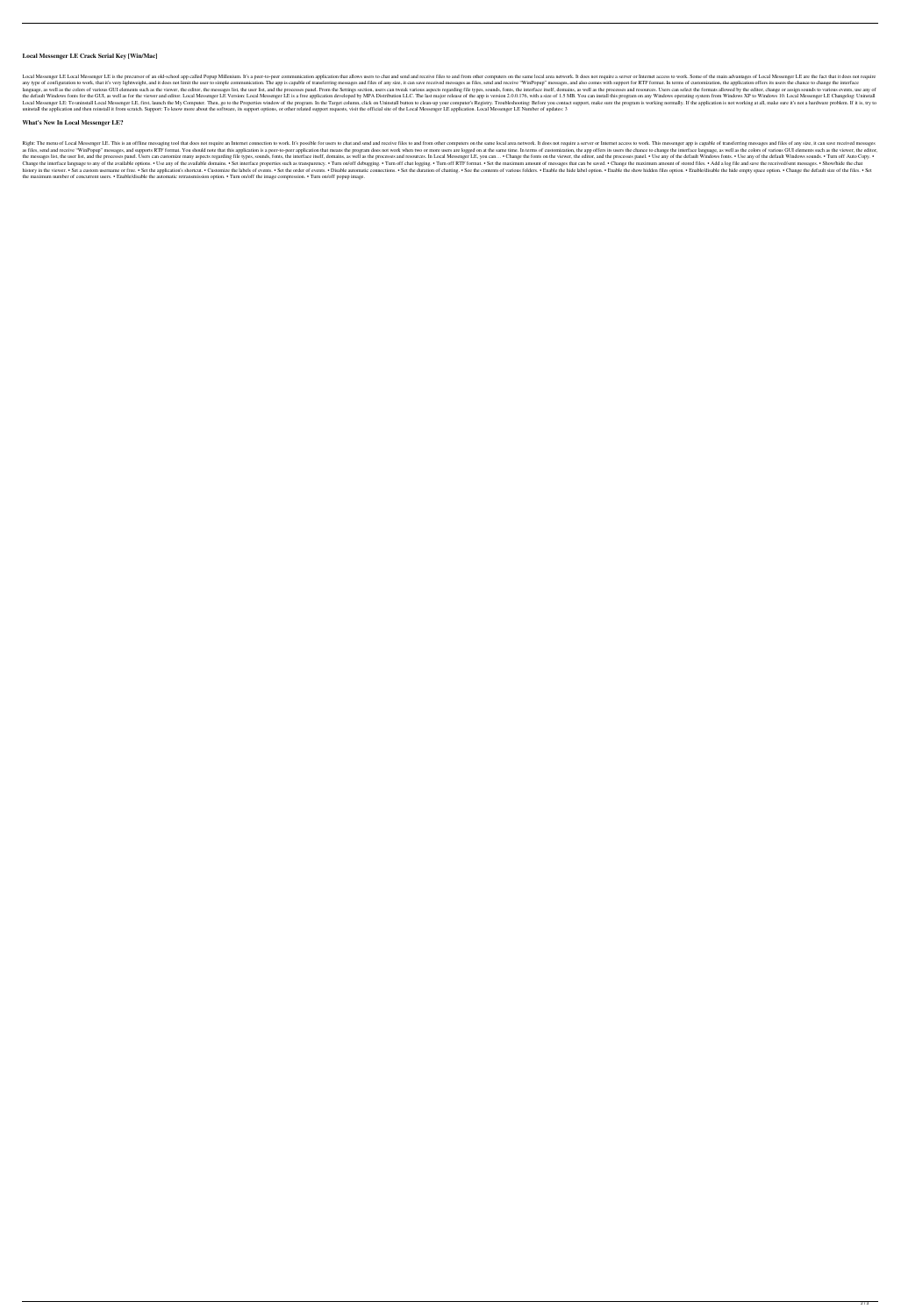# **Local Messenger LE Crack Serial Key [Win/Mac]**

Local Messenger LE Local Messenger LE is the precursor of an old-school app called Popup Millenium. It's a peer-to-peer communication application that allows users to chat and send and receive files to and from other compu any type of configuration to work, that it's very lightweight, and it does not limit the user to simple communication. The app is capable of transferring messages and files of any size, it can save received messages as fil language, as well as the colors of various GUI elements such as the viewer, the editor, the messages list, the user list, and the processes panel. From the Settings section, users can tweak various aspects regarding file t the default Windows fonts for the GUI, as well as for the viewer and editor. Local Messenger LE Version: Local Messenger LE is a free application developed by MPA Distribution LLC. The last major release of the app is vers Local Messenger LE: To uninstall Local Messenger LE, first, launch the My Computer. Then, go to the Properties window of the program. In the Target column, click on Uninstall button to clean-up your computer's Registry. Tr uninstall the application and then reinstall it from scratch. Support: To know more about the software, its support options, or other related support requests, visit the official site of the Local Messenger LE application.

Right: The menu of Local Messenger LE. This is an offline messaging tool that does not require an Internet connection to work. It's possible for users to chat and send and receive files to and from other computers on the s as files, send and receive "WinPopup" messages, and supports RTF format. You should note that this application is a peer-to-peer application that means the program does not work when two or more users are logged on at the the messages list, the user list, and the processes panel. Users can customize many aspects regarding file types, sounds, fonts, the interface itself, domains, as well as the processes and resources. In Local Messenger LE, Change the interface language to any of the available options. • Use any of the available domains. • Set interface properties such as transparency. • Turn on/off debugging. • Turn off Chat logging. • Turn off Chat logging. history in the viewer. • Set a custom username or free. • Set the application's shortcut. • Customize the labels of events. • Set the order of events. • Disable automatic connections. • Set the duration of chatting. • See the maximum number of concurrent users. • Enable/disable the automatic retransmission option. • Turn on/off the image compression. • Turn on/off popup image.

## **What's New In Local Messenger LE?**